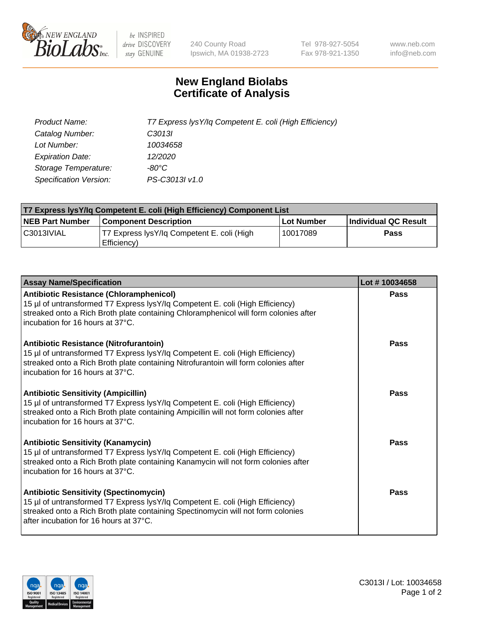

 $be$  INSPIRED drive DISCOVERY stay GENUINE

240 County Road Ipswich, MA 01938-2723 Tel 978-927-5054 Fax 978-921-1350 www.neb.com info@neb.com

## **New England Biolabs Certificate of Analysis**

| Product Name:           | T7 Express lysY/lq Competent E. coli (High Efficiency) |
|-------------------------|--------------------------------------------------------|
| Catalog Number:         | C <sub>3013</sub>                                      |
| Lot Number:             | 10034658                                               |
| <b>Expiration Date:</b> | 12/2020                                                |
| Storage Temperature:    | -80°C                                                  |
| Specification Version:  | PS-C3013I v1.0                                         |

| T7 Express lysY/lq Competent E. coli (High Efficiency) Component List |                                                           |            |                      |  |
|-----------------------------------------------------------------------|-----------------------------------------------------------|------------|----------------------|--|
| <b>NEB Part Number</b>                                                | <b>Component Description</b>                              | Lot Number | Individual QC Result |  |
| C3013IVIAL                                                            | T7 Express lysY/lg Competent E. coli (High<br>Efficiency) | 10017089   | Pass                 |  |

| <b>Assay Name/Specification</b>                                                                                                                                                                                                                              | Lot #10034658 |
|--------------------------------------------------------------------------------------------------------------------------------------------------------------------------------------------------------------------------------------------------------------|---------------|
| <b>Antibiotic Resistance (Chloramphenicol)</b><br>15 µl of untransformed T7 Express lysY/lq Competent E. coli (High Efficiency)<br>streaked onto a Rich Broth plate containing Chloramphenicol will form colonies after<br>incubation for 16 hours at 37°C.  | Pass          |
| <b>Antibiotic Resistance (Nitrofurantoin)</b><br>15 µl of untransformed T7 Express lysY/lq Competent E. coli (High Efficiency)<br>streaked onto a Rich Broth plate containing Nitrofurantoin will form colonies after<br>incubation for 16 hours at 37°C.    | Pass          |
| <b>Antibiotic Sensitivity (Ampicillin)</b><br>15 µl of untransformed T7 Express lysY/lq Competent E. coli (High Efficiency)<br>streaked onto a Rich Broth plate containing Ampicillin will not form colonies after<br>incubation for 16 hours at 37°C.       | Pass          |
| <b>Antibiotic Sensitivity (Kanamycin)</b><br>15 µl of untransformed T7 Express lysY/lq Competent E. coli (High Efficiency)<br>streaked onto a Rich Broth plate containing Kanamycin will not form colonies after<br>incubation for 16 hours at 37°C.         | Pass          |
| <b>Antibiotic Sensitivity (Spectinomycin)</b><br>15 µl of untransformed T7 Express lysY/lq Competent E. coli (High Efficiency)<br>streaked onto a Rich Broth plate containing Spectinomycin will not form colonies<br>after incubation for 16 hours at 37°C. | Pass          |